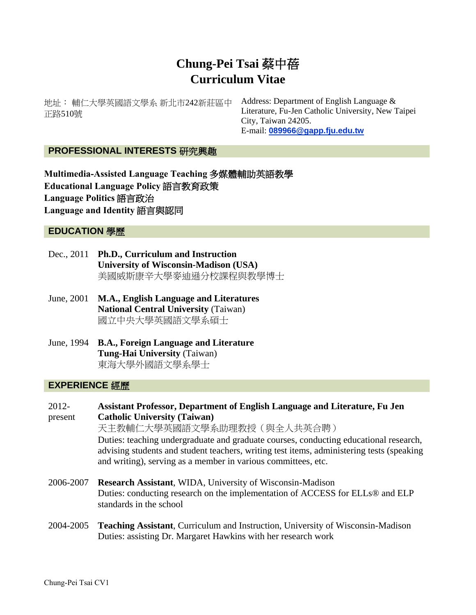# **Chung-Pei Tsai** 蔡中蓓 **Curriculum Vitae**

地址︰ 輔仁大學英國語文學系 新北市242新莊區中 正路510號

Address: Department of English Language & Literature, Fu-Jen Catholic University, New Taipei City, Taiwan 24205. E-mail: **[089966@gapp.fju.edu.tw](mailto:089966@gapp.fju.edu.tw)**

# **PROFESSIONAL INTERESTS** 研究興趣

**Multimedia-Assisted Language Teaching** 多媒體輔助英語教學 **Educational Language Policy** 語言教育政策 **Language Politics** 語言政治 **Language and Identity** 語言與認同

# **EDUCATION** 學歷

- Dec., 2011 **Ph.D., Curriculum and Instruction University of Wisconsin-Madison (USA)** 美國威斯康辛大學麥迪遜分校課程與教學博士
- June, 2001 **M.A., English Language and Literatures National Central University** (Taiwan) 國立中央大學英國語文學系碩士
- June, 1994 **B.A., Foreign Language and Literature Tung-Hai University** (Taiwan) 東海大學外國語文學系學士

# **EXPERIENCE** 經歷

- 2012 present **Assistant Professor, Department of English Language and Literature, Fu Jen Catholic University (Taiwan)** 天主教輔仁大學英國語文學系助理教授(與全人共英合聘) Duties: teaching undergraduate and graduate courses, conducting educational research, advising students and student teachers, writing test items, administering tests (speaking and writing), serving as a member in various committees, etc. 2006-2007 **Research Assistant**, WIDA, University of Wisconsin-Madison Duties: conducting research on the implementation of ACCESS for ELLs® and ELP standards in the school
- 2004-2005 **Teaching Assistant**, Curriculum and Instruction, University of Wisconsin-Madison Duties: assisting Dr. Margaret Hawkins with her research work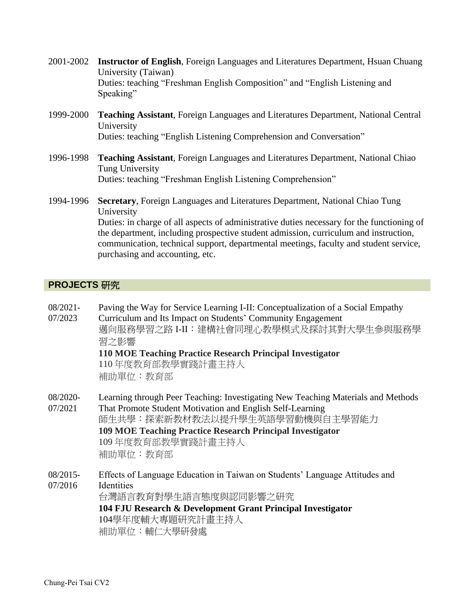- 2001-2002 **Instructor of English**, Foreign Languages and Literatures Department, Hsuan Chuang University (Taiwan) Duties: teaching "Freshman English Composition" and "English Listening and Speaking"
- 1999-2000 **Teaching Assistant**, Foreign Languages and Literatures Department, National Central University Duties: teaching "English Listening Comprehension and Conversation"
- 1996-1998 **Teaching Assistant**, Foreign Languages and Literatures Department, National Chiao Tung University Duties: teaching "Freshman English Listening Comprehension"
- 1994-1996 **Secretary**, Foreign Languages and Literatures Department, National Chiao Tung University Duties: in charge of all aspects of administrative duties necessary for the functioning of the department, including prospective student admission, curriculum and instruction, communication, technical support, departmental meetings, faculty and student service, purchasing and accounting, etc.

# **PROJECTS** 研究

07/2023

- 08/2021- Paving the Way for Service Learning I-II: Conceptualization of a Social Empathy
	- Curriculum and Its Impact on Students' Community Engagement 邁向服務學習之路 I-II:建構社會同理心教學模式及探討其對大學生參與服務學 習之影響

# **110 MOE Teaching Practice Research Principal Investigator**

110 年度教育部教學實踐計畫主持人 補助單位:教育部

08/2020- 07/2021 Learning through Peer Teaching: Investigating New Teaching Materials and Methods That Promote Student Motivation and English Self-Learning

師生共學:探索新教材教法以提升學生英語學習動機與自主學習能力 **109 MOE Teaching Practice Research Principal Investigator** 109 年度教育部教學實踐計畫主持人 補助單位:教育部

08/2015- 07/2016 Effects of Language Education in Taiwan on Students' Language Attitudes and Identities 台灣語言教育對學生語言態度與認同影響之研究 **104 FJU Research & Development Grant Principal Investigator** 104學年度輔大專題研究計畫主持人 補助單位:輔仁大學研發處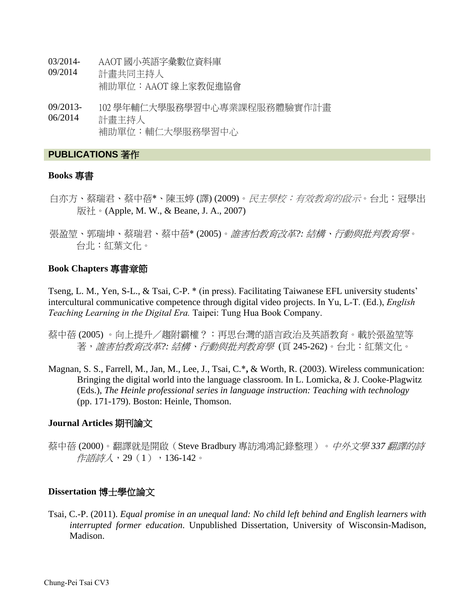- 03/2014- AAOT 國小英語字彙數位資料庫
- 09/2014 計畫共同主持人 補助單位:AAOT 線上家教促進協會
- 09/2013- 06/2014 102 學年輔仁大學服務學習中心專業課程服務體驗實作計畫 計畫主持人 補助單位:輔仁大學服務學習中心

# **PUBLICATIONS** 著作

# **Books** 專書

- 白亦方、蔡瑞君、蔡中蓓\*、陳玉婷 (譯) (2009)。*民主學校:有效教育的啟示*。台北:冠學出 版社。(Apple, M. W., & Beane, J. A., 2007)
- 張盈堃、郭瑞坤、蔡瑞君、蔡中蓓\* (2005)。誰害怕教育改革*?:* 結構、行動與批判教育學。 台北:紅葉文化。

# **Book Chapters** 專書章節

Tseng, L. M., Yen, S-L., & Tsai, C-P. \* (in press). Facilitating Taiwanese EFL university students' intercultural communicative competence through digital video projects. In Yu, L-T. (Ed.), *English Teaching Learning in the Digital Era.* Taipei: Tung Hua Book Company.

- 蔡中蓓 (2005) 。向上提升/趨附霸權?:再思台灣的語言政治及英語教育。載於張盈堃等 著, *誰害怕教育改革?: 結構、行動與批判教育學* (頁 245-262)。台北: 紅葉文化。
- Magnan, S. S., Farrell, M., Jan, M., Lee, J., Tsai, C.\***,** & Worth, R. (2003). Wireless communication: Bringing the digital world into the language classroom. In L. Lomicka, & J. Cooke-Plagwitz (Eds.), *The Heinle professional series in language instruction: Teaching with technology* (pp. 171-179). Boston: Heinle, Thomson.

# **Journal Articles** 期刊論文

蔡中蓓 (2000)。翻譯就是開啟(Steve Bradbury 專訪鴻鴻記錄整理)。中外文學 *337* 翻譯的詩 作語詩人,29(1),136-142。

# **Dissertation** 博士學位論文

Tsai, C.-P. (2011). *Equal promise in an unequal land: No child left behind and English learners with interrupted former education*. Unpublished Dissertation, University of Wisconsin-Madison, Madison.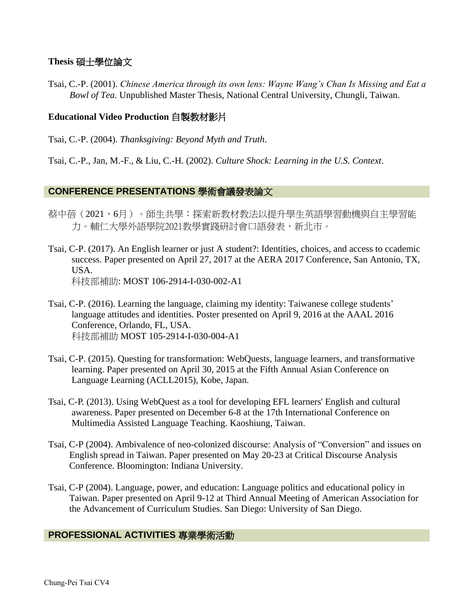# **Thesis** 碩士學位論文

Tsai, C.-P. (2001). *Chinese America through its own lens: Wayne Wang's Chan Is Missing and Eat a Bowl of Tea.* Unpublished Master Thesis, National Central University, Chungli, Taiwan.

# **Educational Video Production** 自製教材影片

Tsai, C.-P. (2004). *Thanksgiving: Beyond Myth and Truth*.

Tsai, C.-P., Jan, M.-F., & Liu, C.-H. (2002). *Culture Shock: Learning in the U.S. Context*.

# **CONFERENCE PRESENTATIONS** 學術會議發表論文

- 蔡中蓓(2021,6月)。師生共學:探索新教材教法以提升學生英語學習動機與自主學習能 力。輔仁大學外語學院2021教學實踐研討會口語發表,新北市。
- Tsai, C-P. (2017). An English learner or just A student?: Identities, choices, and access to ccademic success. Paper presented on April 27, 2017 at the AERA 2017 Conference, San Antonio, TX, USA. 科技部補助: MOST 106-2914-I-030-002-A1
- Tsai, C-P. (2016). Learning the language, claiming my identity: Taiwanese college students' language attitudes and identities. Poster presented on April 9, 2016 at the AAAL 2016 Conference, Orlando, FL, USA. 科技部補助 MOST 105-2914-I-030-004-A1
- Tsai, C-P. (2015). Questing for transformation: WebQuests, language learners, and transformative learning. Paper presented on April 30, 2015 at the Fifth Annual Asian Conference on Language Learning (ACLL2015), Kobe, Japan.
- Tsai, C-P. (2013). Using WebQuest as a tool for developing EFL learners' English and cultural awareness. Paper presented on December 6-8 at the 17th International Conference on Multimedia Assisted Language Teaching. Kaoshiung, Taiwan.
- Tsai, C-P (2004). Ambivalence of neo-colonized discourse: Analysis of "Conversion" and issues on English spread in Taiwan. Paper presented on May 20-23 at Critical Discourse Analysis Conference. Bloomington: Indiana University.
- Tsai, C-P (2004). Language, power, and education: Language politics and educational policy in Taiwan. Paper presented on April 9-12 at Third Annual Meeting of American Association for the Advancement of Curriculum Studies. San Diego: University of San Diego.

# **PROFESSIONAL ACTIVITIES** 專業學術活動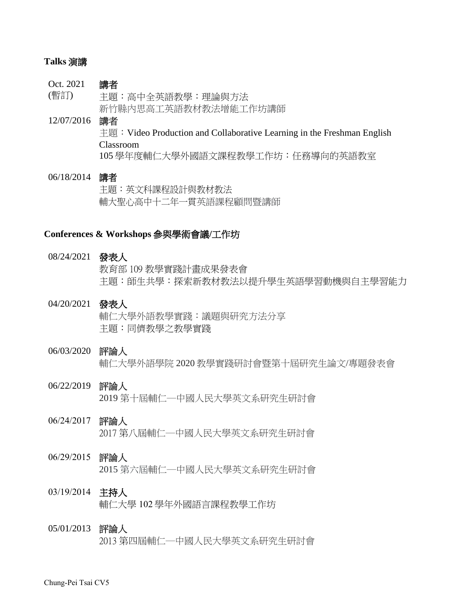## **Talks** 演講

#### Oct. 2021 (暫訂) 講者 主題:高中全英語教學:理論與方法 新竹縣內思高工英語教材教法增能工作坊講師

# 12/07/2016 講者 主題: Video Production and Collaborative Learning in the Freshman English Classroom 105 學年度輔仁大學外國語文課程教學工作坊:任務導向的英語教室

# 06/18/2014 講者 主題:英文科課程設計與教材教法 輔大聖心高中十二年一貫英語課程顧問暨講師

## **Conferences & Workshops** 參與學術會議**/**工作坊

### 08/24/2021 發表人

教育部 109 教學實踐計畫成果發表會 主題:師生共學:探索新教材教法以提升學生英語學習動機與自主學習能力

04/20/2021 發表人 輔仁大學外語教學實踐:議題與研究方法分享 主題:同儕教學之教學實踐

# 06/03/2020 評論人 輔仁大學外語學院 2020 教學實踐研討會暨第十屆研究生論文/專題發表會

06/22/2019 評論人 2019 第十屆輔仁─中國人民大學英文系研究生研討會

# 06/24/2017 評論人

2017 第八屆輔仁─中國人民大學英文系研究生研討會

# 06/29/2015 評論人 2015 第六屆輔仁─中國人民大學英文系研究生研討會

# 03/19/2014 主持人 輔仁大學 102 學年外國語言課程教學工作坊

# 05/01/2013 評論人 2013 第四屆輔仁─中國人民大學英文系研究生研討會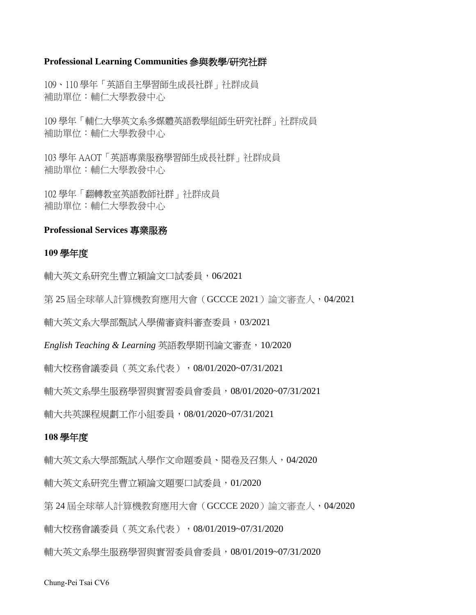### **Professional Learning Communities** 參與教學**/**研究社群

109、110 學年「英語自主學習師生成長社群」社群成員 補助單位:輔仁大學教發中心

109 學年「輔仁大學英文系多媒體英語教學組師生研究社群」社群成員 補助單位:輔仁大學教發中心

103 學年 AAOT「英語專業服務學習師生成長社群」社群成員 補助單位:輔仁大學教發中心

102 學年「翻轉教室英語教師社群」社群成員 補助單位:輔仁大學教發中心

# **Professional Services** 專業服務

### **109** 學年度

輔大英文系研究生曹立穎論文口試委員,06/2021

第 25 屆全球華人計算機教育應用大會(GCCCE 2021)論文審查人,04/2021

輔大英文系大學部甄試入學備審資料審查委員,03/2021

*English Teaching & Learning* 英語教學期刊論文審查,10/2020

輔大校務會議委員(英文系代表),08/01/2020~07/31/2021

輔大英文系學生服務學習與實習委員會委員,08/01/2020~07/31/2021

輔大共英課程規劃工作小組委員,08/01/2020~07/31/2021

### **108** 學年度

輔大英文系大學部甄試入學作文命題委員、閱卷及召集人,04/2020

輔大英文系研究生曹立穎論文題要口試委員,01/2020

第 24 屆全球華人計算機教育應用大會(GCCCE 2020)論文審查人,04/2020

輔大校務會議委員(英文系代表),08/01/2019~07/31/2020

輔大英文系學生服務學習與實習委員會委員,08/01/2019~07/31/2020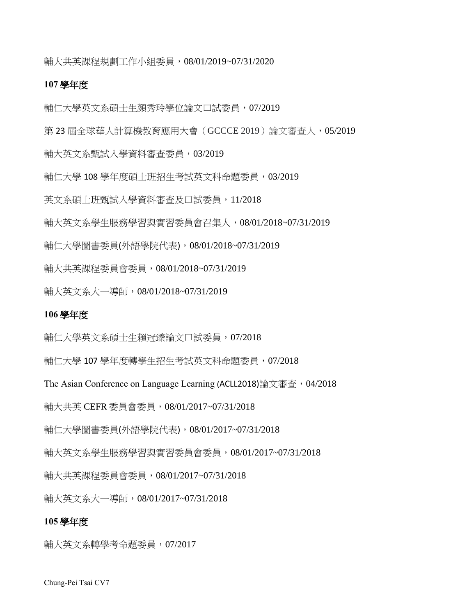輔大共英課程規劃工作小組委員,08/01/2019~07/31/2020

#### **107** 學年度

輔仁大學英文系碩士生顏秀玲學位論文口試委員,07/2019

第 23 屆全球華人計算機教育應用大會 ( GCCCE 2019 ) 論文審查人,05/2019

輔大英文系甄試入學資料審查委員,03/2019

輔仁大學 108 學年度碩士班招生考試英文科命題委員,03/2019

英文系碩士班甄試入學資料審查及口試委員,11/2018

輔大英文系學生服務學習與實習委員會召集人,08/01/2018~07/31/2019

輔仁大學圖書委員(外語學院代表),08/01/2018~07/31/2019

輔大共英課程委員會委員,08/01/2018~07/31/2019

輔大英文系大一導師,08/01/2018~07/31/2019

### **106** 學年度

輔仁大學英文系碩士生賴冠臻論文口試委員,07/2018

輔仁大學 107 學年度轉學生招生考試英文科命題委員,07/2018

The Asian Conference on Language Learning (ACLL2018)論文審査, 04/2018

輔大共英 CEFR 委員會委員,08/01/2017~07/31/2018

輔仁大學圖書委員(外語學院代表),08/01/2017~07/31/2018

輔大英文系學生服務學習與實習委員會委員,08/01/2017~07/31/2018

輔大共英課程委員會委員,08/01/2017~07/31/2018

輔大英文系大一導師,08/01/2017~07/31/2018

### **105** 學年度

輔大英文系轉學考命題委員,07/2017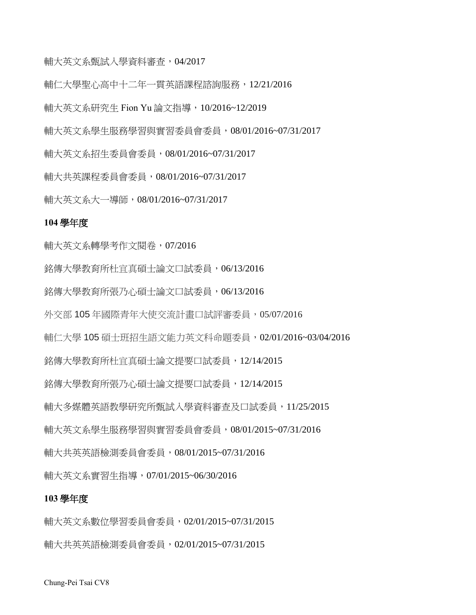輔大英文系甄試入學資料審查,04/2017

輔仁大學聖心高中十二年一貫英語課程諮詢服務,12/21/2016

輔大英文系研究生 Fion Yu 論文指導,10/2016~12/2019

輔大英文系學生服務學習與實習委員會委員,08/01/2016~07/31/2017

輔大英文系招生委員會委員,08/01/2016~07/31/2017

輔大共英課程委員會委員,08/01/2016~07/31/2017

輔大英文系大一導師,08/01/2016~07/31/2017

# **104** 學年度

輔大英文系轉學考作文閱卷,07/2016 銘傳大學教育所杜宜真碩士論文口試委員,06/13/2016 銘傳大學教育所張乃心碩士論文口試委員,06/13/2016 外交部 105 年國際青年大使交流計畫口試評審委員,05/07/2016 輔仁大學 105 碩士班招生語文能力英文科命題委員,02/01/2016~03/04/2016 銘傳大學教育所杜宜真碩士論文提要口試委員,12/14/2015 銘傳大學教育所張乃心碩士論文提要口試委員,12/14/2015 輔大多媒體英語教學研究所甄試入學資料審查及口試委員,11/25/2015 輔大英文系學生服務學習與實習委員會委員,08/01/2015~07/31/2016 輔大共英英語檢測委員會委員,08/01/2015~07/31/2016 輔大英文系實習生指導,07/01/2015~06/30/2016

#### **103** 學年度

輔大英文系數位學習委員會委員,02/01/2015~07/31/2015 輔大共英英語檢測委員會委員,02/01/2015~07/31/2015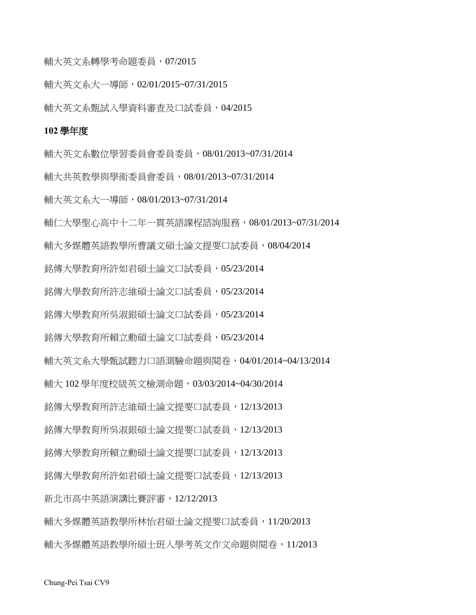輔大英文系轉學考命題委員,07/2015

輔大英文系大一導師,02/01/2015~07/31/2015

輔大英文系甄試入學資料審查及口試委員,04/2015

#### **102** 學年度

輔大英文系數位學習委員會委員委員,08/01/2013~07/31/2014 輔大共英教學與學術委員會委員,08/01/2013~07/31/2014 輔大英文系大一導師,08/01/2013~07/31/2014 輔仁大學聖心高中十二年一貫英語課程諮詢服務,08/01/2013~07/31/2014 輔大多媒體英語教學所曹議文碩士論文提要口試委員,08/04/2014 銘傳大學教育所許如君碩士論文口試委員,05/23/2014 銘傳大學教育所許志維碩士論文口試委員,05/23/2014 銘傳大學教育所吳淑銀碩士論文口試委員,05/23/2014 銘傳大學教育所賴立勳碩士論文口試委員,05/23/2014 輔大英文系大學甄試聽力口語測驗命題與閱卷,04/01/2014~04/13/2014 輔大 102 學年度校級英文檢測命題,03/03/2014~04/30/2014 銘傳大學教育所許志維碩士論文提要口試委員,12/13/2013 銘傳大學教育所吳淑銀碩士論文提要口試委員,12/13/2013 銘傳大學教育所賴立勳碩士論文提要口試委員,12/13/2013 銘傳大學教育所許如君碩士論文提要口試委員,12/13/2013 新北市高中英語演講比賽評審,12/12/2013 輔大多媒體英語教學所林怡君碩士論文提要口試委員,11/20/2013 輔大多媒體英語教學所碩士班入學考英文作文命題與閱卷,11/2013